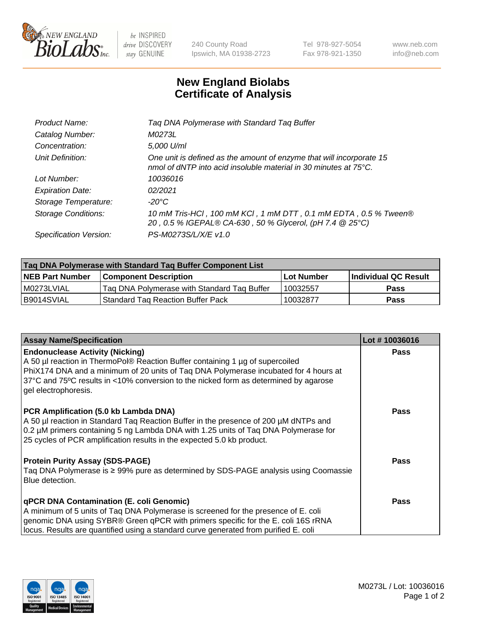

 $be$  INSPIRED drive DISCOVERY stay GENUINE

240 County Road Ipswich, MA 01938-2723 Tel 978-927-5054 Fax 978-921-1350 www.neb.com info@neb.com

## **New England Biolabs Certificate of Analysis**

| Product Name:              | Tag DNA Polymerase with Standard Tag Buffer                                                                                              |
|----------------------------|------------------------------------------------------------------------------------------------------------------------------------------|
| Catalog Number:            | M0273L                                                                                                                                   |
| Concentration:             | 5,000 U/ml                                                                                                                               |
| Unit Definition:           | One unit is defined as the amount of enzyme that will incorporate 15<br>nmol of dNTP into acid insoluble material in 30 minutes at 75°C. |
| Lot Number:                | 10036016                                                                                                                                 |
| <b>Expiration Date:</b>    | 02/2021                                                                                                                                  |
| Storage Temperature:       | $-20^{\circ}$ C                                                                                                                          |
| <b>Storage Conditions:</b> | 10 mM Tris-HCl, 100 mM KCl, 1 mM DTT, 0.1 mM EDTA, 0.5 % Tween®<br>20, 0.5 % IGEPAL® CA-630, 50 % Glycerol, (pH 7.4 @ 25°C)              |
| Specification Version:     | PS-M0273S/L/X/E v1.0                                                                                                                     |
|                            |                                                                                                                                          |

| Taq DNA Polymerase with Standard Taq Buffer Component List |                                             |                   |                      |  |
|------------------------------------------------------------|---------------------------------------------|-------------------|----------------------|--|
| <b>NEB Part Number</b>                                     | Component Description_                      | <b>Lot Number</b> | Individual QC Result |  |
| I M0273LVIAL                                               | Tag DNA Polymerase with Standard Tag Buffer | 10032557          | <b>Pass</b>          |  |
| B9014SVIAL                                                 | Standard Tag Reaction Buffer Pack           | 10032877          | Pass                 |  |

| <b>Assay Name/Specification</b>                                                                                                                                                                                                                                                                                                 | Lot #10036016 |
|---------------------------------------------------------------------------------------------------------------------------------------------------------------------------------------------------------------------------------------------------------------------------------------------------------------------------------|---------------|
| <b>Endonuclease Activity (Nicking)</b><br>A 50 µl reaction in ThermoPol® Reaction Buffer containing 1 µg of supercoiled<br>PhiX174 DNA and a minimum of 20 units of Taq DNA Polymerase incubated for 4 hours at<br>37°C and 75°C results in <10% conversion to the nicked form as determined by agarose<br>gel electrophoresis. | <b>Pass</b>   |
| PCR Amplification (5.0 kb Lambda DNA)<br>A 50 µl reaction in Standard Taq Reaction Buffer in the presence of 200 µM dNTPs and<br>0.2 µM primers containing 5 ng Lambda DNA with 1.25 units of Taq DNA Polymerase for<br>25 cycles of PCR amplification results in the expected 5.0 kb product.                                  | <b>Pass</b>   |
| <b>Protein Purity Assay (SDS-PAGE)</b><br>Taq DNA Polymerase is ≥ 99% pure as determined by SDS-PAGE analysis using Coomassie<br>Blue detection.                                                                                                                                                                                | Pass          |
| qPCR DNA Contamination (E. coli Genomic)<br>A minimum of 5 units of Taq DNA Polymerase is screened for the presence of E. coli<br>genomic DNA using SYBR® Green qPCR with primers specific for the E. coli 16S rRNA<br>locus. Results are quantified using a standard curve generated from purified E. coli                     | Pass          |